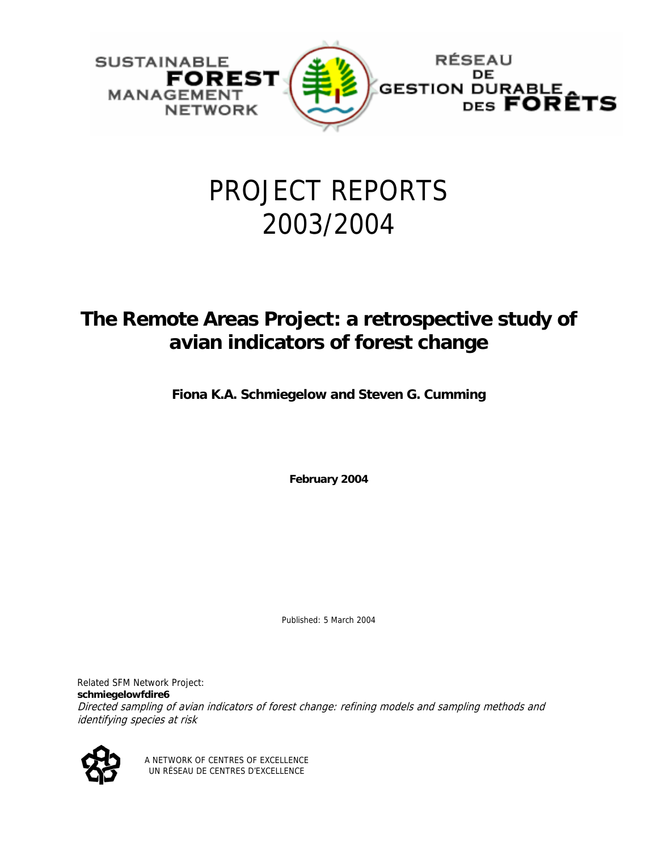

# PROJECT REPORTS 2003/2004

# **The Remote Areas Project: a retrospective study of avian indicators of forest change**

**Fiona K.A. Schmiegelow and Steven G. Cumming** 

**February 2004** 

Published: 5 March 2004

Related SFM Network Project: **schmiegelowfdire6**  Directed sampling of avian indicators of forest change: refining models and sampling methods and identifying species at risk



A NETWORK OF CENTRES OF EXCELLENCE UN RÉSEAU DE CENTRES D'EXCELLENCE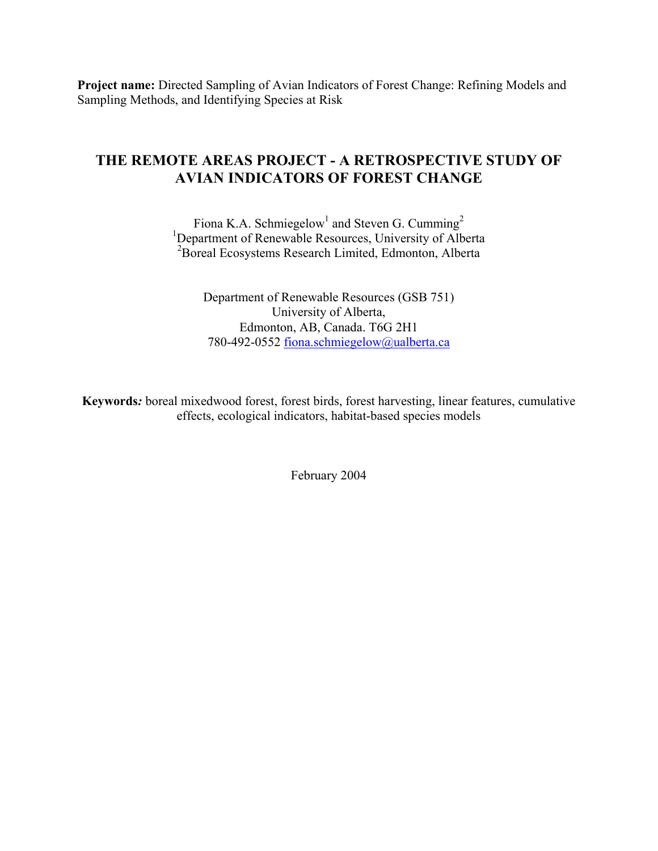**Project name:** Directed Sampling of Avian Indicators of Forest Change: Refining Models and Sampling Methods, and Identifying Species at Risk

## **THE REMOTE AREAS PROJECT - A RETROSPECTIVE STUDY OF AVIAN INDICATORS OF FOREST CHANGE**

Fiona K.A. Schmiegelow<sup>1</sup> and Steven G. Cumming<sup>2</sup> <sup>1</sup>Department of Renewable Resources, University of Alberta 2 Boreal Ecosystems Research Limited, Edmonton, Alberta

Department of Renewable Resources (GSB 751) University of Alberta, Edmonton, AB, Canada. T6G 2H1 780-492-0552 [fiona.schmiegelow@ualberta.ca](mailto:ellen.macdonald@ualberta.ca)

**Keywords***:* boreal mixedwood forest, forest birds, forest harvesting, linear features, cumulative effects, ecological indicators, habitat-based species models

February 2004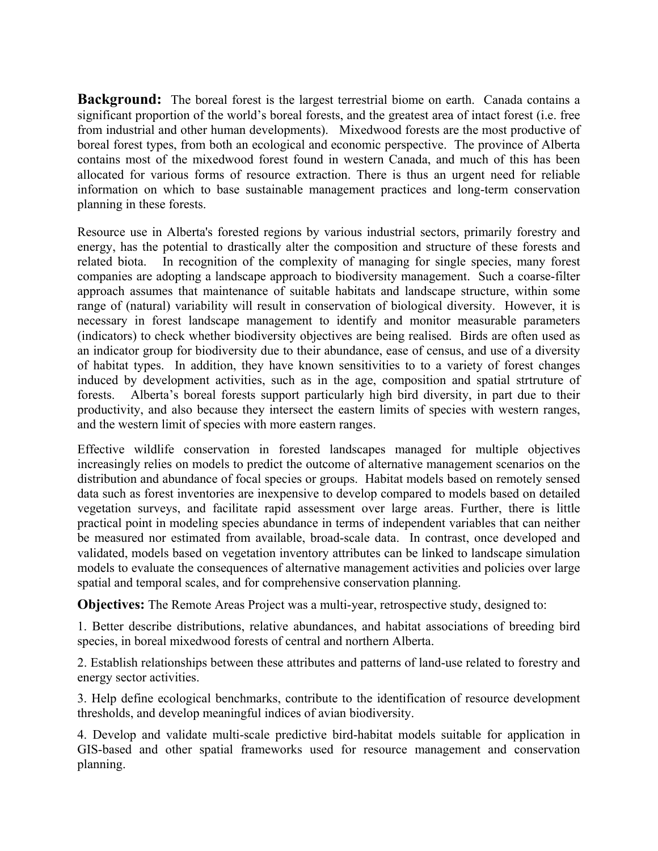**Background:** The boreal forest is the largest terrestrial biome on earth. Canada contains a significant proportion of the world's boreal forests, and the greatest area of intact forest (i.e. free from industrial and other human developments). Mixedwood forests are the most productive of boreal forest types, from both an ecological and economic perspective. The province of Alberta contains most of the mixedwood forest found in western Canada, and much of this has been allocated for various forms of resource extraction. There is thus an urgent need for reliable information on which to base sustainable management practices and long-term conservation planning in these forests.

Resource use in Alberta's forested regions by various industrial sectors, primarily forestry and energy, has the potential to drastically alter the composition and structure of these forests and related biota. In recognition of the complexity of managing for single species, many forest companies are adopting a landscape approach to biodiversity management. Such a coarse-filter approach assumes that maintenance of suitable habitats and landscape structure, within some range of (natural) variability will result in conservation of biological diversity. However, it is necessary in forest landscape management to identify and monitor measurable parameters (indicators) to check whether biodiversity objectives are being realised. Birds are often used as an indicator group for biodiversity due to their abundance, ease of census, and use of a diversity of habitat types. In addition, they have known sensitivities to to a variety of forest changes induced by development activities, such as in the age, composition and spatial strtruture of forests. Alberta's boreal forests support particularly high bird diversity, in part due to their productivity, and also because they intersect the eastern limits of species with western ranges, and the western limit of species with more eastern ranges.

Effective wildlife conservation in forested landscapes managed for multiple objectives increasingly relies on models to predict the outcome of alternative management scenarios on the distribution and abundance of focal species or groups. Habitat models based on remotely sensed data such as forest inventories are inexpensive to develop compared to models based on detailed vegetation surveys, and facilitate rapid assessment over large areas. Further, there is little practical point in modeling species abundance in terms of independent variables that can neither be measured nor estimated from available, broad-scale data. In contrast, once developed and validated, models based on vegetation inventory attributes can be linked to landscape simulation models to evaluate the consequences of alternative management activities and policies over large spatial and temporal scales, and for comprehensive conservation planning.

**Objectives:** The Remote Areas Project was a multi-year, retrospective study, designed to:

1. Better describe distributions, relative abundances, and habitat associations of breeding bird species, in boreal mixedwood forests of central and northern Alberta.

2. Establish relationships between these attributes and patterns of land-use related to forestry and energy sector activities.

3. Help define ecological benchmarks, contribute to the identification of resource development thresholds, and develop meaningful indices of avian biodiversity.

4. Develop and validate multi-scale predictive bird-habitat models suitable for application in GIS-based and other spatial frameworks used for resource management and conservation planning.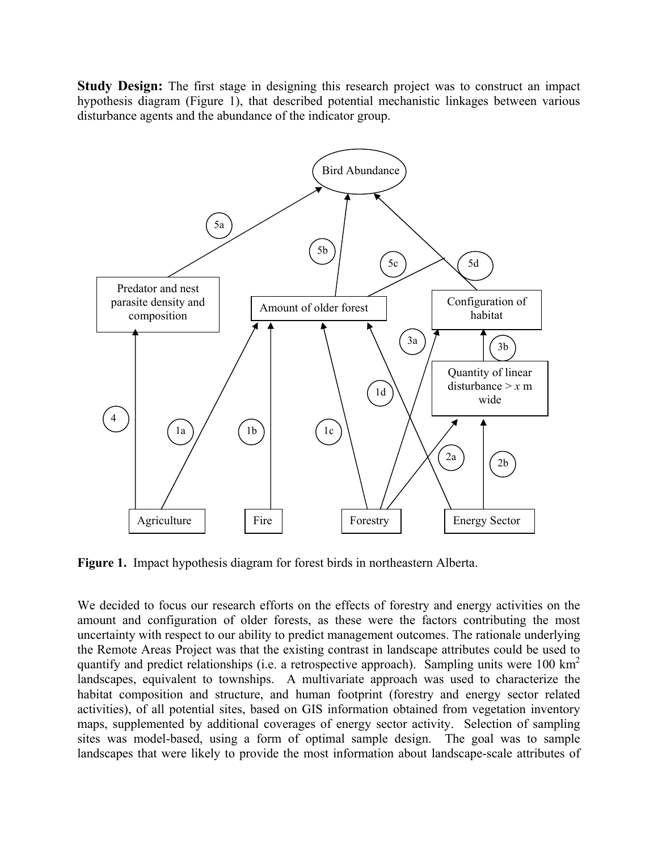**Study Design:** The first stage in designing this research project was to construct an impact hypothesis diagram (Figure 1), that described potential mechanistic linkages between various disturbance agents and the abundance of the indicator group.



**Figure 1.** Impact hypothesis diagram for forest birds in northeastern Alberta.

We decided to focus our research efforts on the effects of forestry and energy activities on the amount and configuration of older forests, as these were the factors contributing the most uncertainty with respect to our ability to predict management outcomes. The rationale underlying the Remote Areas Project was that the existing contrast in landscape attributes could be used to quantify and predict relationships (i.e. a retrospective approach). Sampling units were  $100 \text{ km}^2$ landscapes, equivalent to townships. A multivariate approach was used to characterize the habitat composition and structure, and human footprint (forestry and energy sector related activities), of all potential sites, based on GIS information obtained from vegetation inventory maps, supplemented by additional coverages of energy sector activity. Selection of sampling sites was model-based, using a form of optimal sample design. The goal was to sample landscapes that were likely to provide the most information about landscape-scale attributes of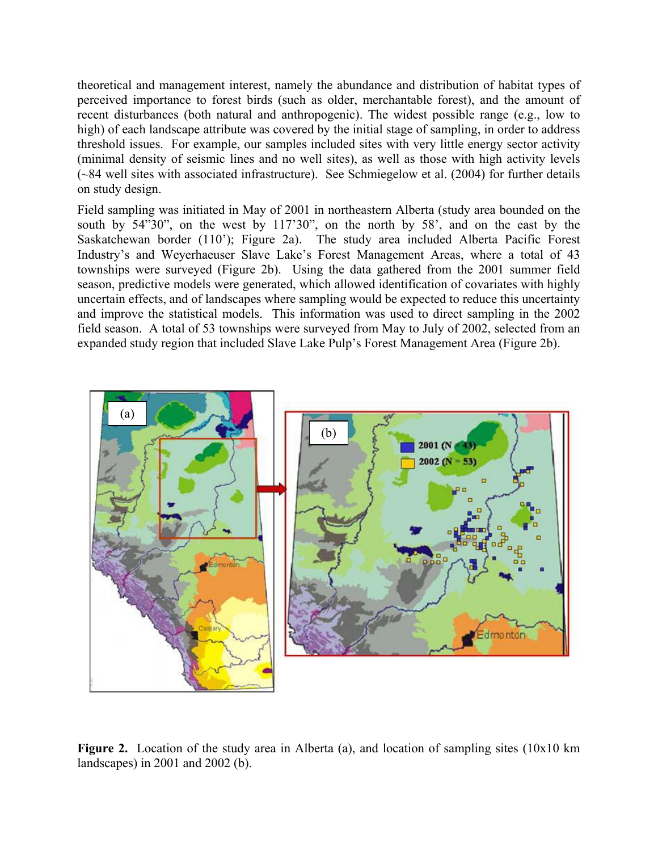theoretical and management interest, namely the abundance and distribution of habitat types of perceived importance to forest birds (such as older, merchantable forest), and the amount of recent disturbances (both natural and anthropogenic). The widest possible range (e.g., low to high) of each landscape attribute was covered by the initial stage of sampling, in order to address threshold issues. For example, our samples included sites with very little energy sector activity (minimal density of seismic lines and no well sites), as well as those with high activity levels (~84 well sites with associated infrastructure). See Schmiegelow et al. (2004) for further details on study design.

Field sampling was initiated in May of 2001 in northeastern Alberta (study area bounded on the south by 54"30", on the west by 117'30", on the north by 58', and on the east by the Saskatchewan border (110'); Figure 2a). The study area included Alberta Pacific Forest Industry's and Weyerhaeuser Slave Lake's Forest Management Areas, where a total of 43 townships were surveyed (Figure 2b). Using the data gathered from the 2001 summer field season, predictive models were generated, which allowed identification of covariates with highly uncertain effects, and of landscapes where sampling would be expected to reduce this uncertainty and improve the statistical models. This information was used to direct sampling in the 2002 field season. A total of 53 townships were surveyed from May to July of 2002, selected from an expanded study region that included Slave Lake Pulp's Forest Management Area (Figure 2b).



**Figure 2.** Location of the study area in Alberta (a), and location of sampling sites (10x10 km) landscapes) in 2001 and 2002 (b).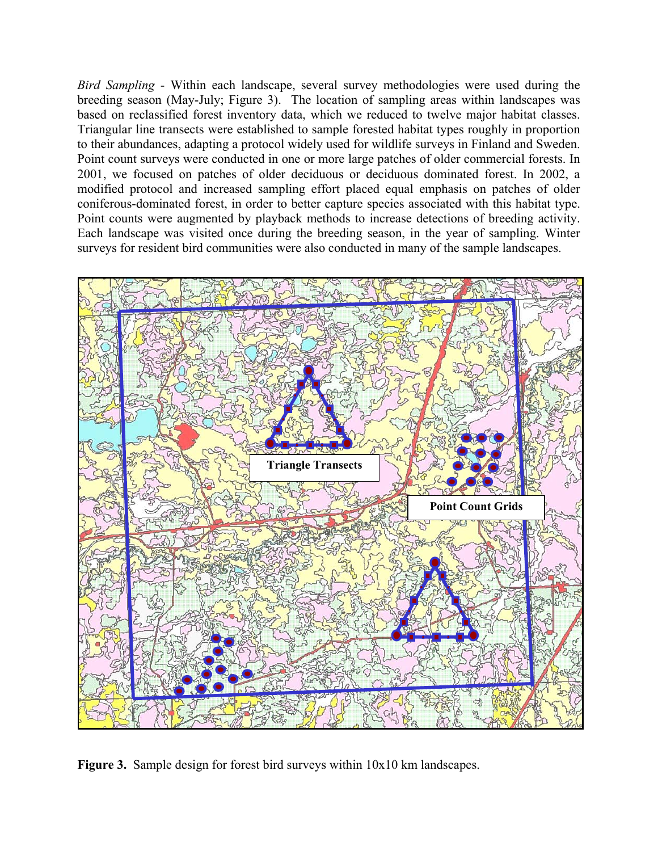*Bird Sampling* - Within each landscape, several survey methodologies were used during the breeding season (May-July; Figure 3). The location of sampling areas within landscapes was based on reclassified forest inventory data, which we reduced to twelve major habitat classes. Triangular line transects were established to sample forested habitat types roughly in proportion to their abundances, adapting a protocol widely used for wildlife surveys in Finland and Sweden. Point count surveys were conducted in one or more large patches of older commercial forests. In 2001, we focused on patches of older deciduous or deciduous dominated forest. In 2002, a modified protocol and increased sampling effort placed equal emphasis on patches of older coniferous-dominated forest, in order to better capture species associated with this habitat type. Point counts were augmented by playback methods to increase detections of breeding activity. Each landscape was visited once during the breeding season, in the year of sampling. Winter surveys for resident bird communities were also conducted in many of the sample landscapes.



**Figure 3.** Sample design for forest bird surveys within 10x10 km landscapes.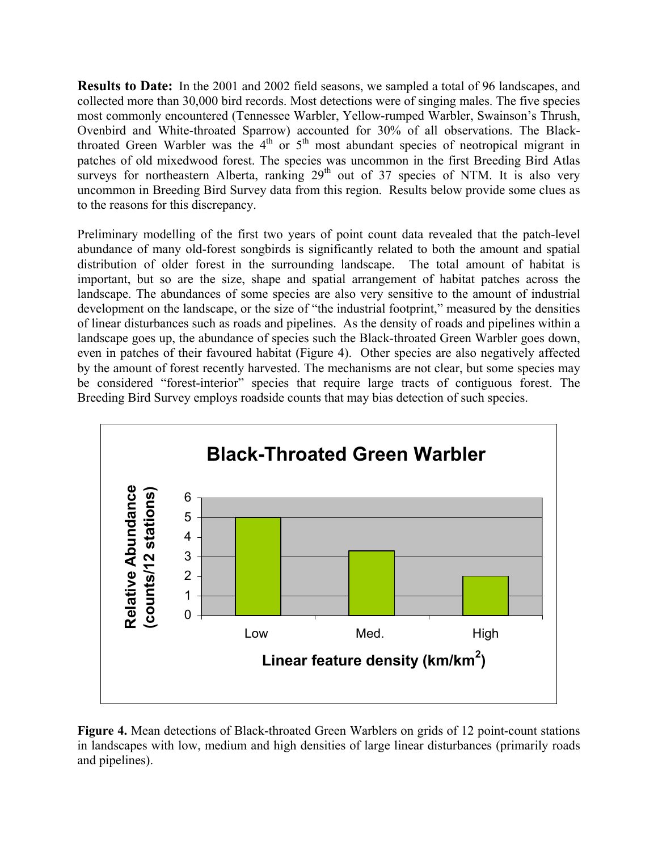**Results to Date:** In the 2001 and 2002 field seasons, we sampled a total of 96 landscapes, and collected more than 30,000 bird records. Most detections were of singing males. The five species most commonly encountered (Tennessee Warbler, Yellow-rumped Warbler, Swainson's Thrush, Ovenbird and White-throated Sparrow) accounted for 30% of all observations. The Blackthroated Green Warbler was the  $4<sup>th</sup>$  or  $5<sup>th</sup>$  most abundant species of neotropical migrant in patches of old mixedwood forest. The species was uncommon in the first Breeding Bird Atlas surveys for northeastern Alberta, ranking  $29<sup>th</sup>$  out of 37 species of NTM. It is also very uncommon in Breeding Bird Survey data from this region. Results below provide some clues as to the reasons for this discrepancy.

Preliminary modelling of the first two years of point count data revealed that the patch-level abundance of many old-forest songbirds is significantly related to both the amount and spatial distribution of older forest in the surrounding landscape. The total amount of habitat is important, but so are the size, shape and spatial arrangement of habitat patches across the landscape. The abundances of some species are also very sensitive to the amount of industrial development on the landscape, or the size of "the industrial footprint," measured by the densities of linear disturbances such as roads and pipelines. As the density of roads and pipelines within a landscape goes up, the abundance of species such the Black-throated Green Warbler goes down, even in patches of their favoured habitat (Figure 4). Other species are also negatively affected by the amount of forest recently harvested. The mechanisms are not clear, but some species may be considered "forest-interior" species that require large tracts of contiguous forest. The Breeding Bird Survey employs roadside counts that may bias detection of such species.



**Figure 4.** Mean detections of Black-throated Green Warblers on grids of 12 point-count stations in landscapes with low, medium and high densities of large linear disturbances (primarily roads and pipelines).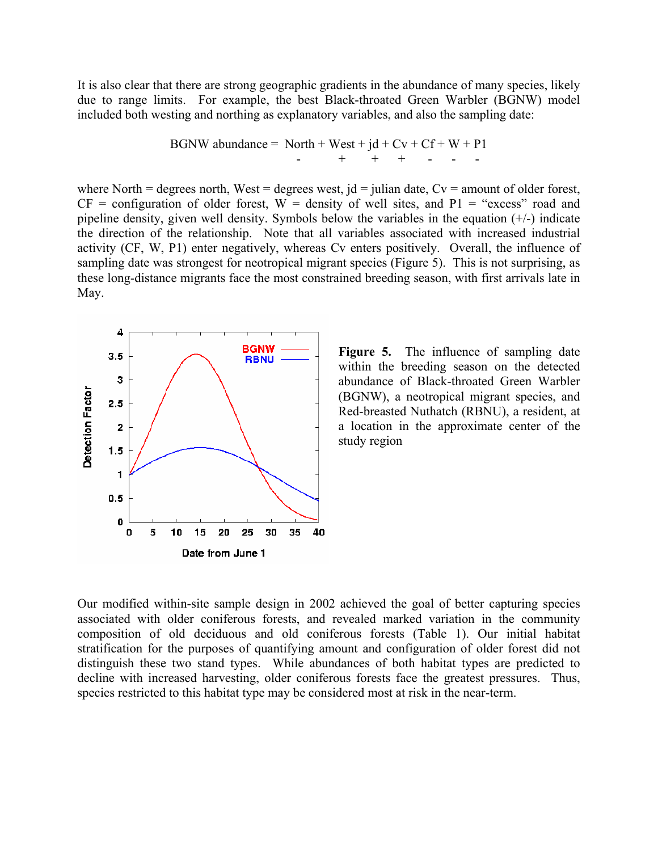It is also clear that there are strong geographic gradients in the abundance of many species, likely due to range limits. For example, the best Black-throated Green Warbler (BGNW) model included both westing and northing as explanatory variables, and also the sampling date:

BGNW abundance = North + West + jd + Cv + Cf + W + P1 - + + + - - -

where North = degrees north, West = degrees west,  $jd = juli$  and  $det$ ,  $Cv =$  amount of older forest,  $CF = configuration of older forest, W = density of well sites, and P1 = "excess" road and$ pipeline density, given well density. Symbols below the variables in the equation  $(+/-)$  indicate the direction of the relationship. Note that all variables associated with increased industrial activity (CF, W, P1) enter negatively, whereas Cv enters positively. Overall, the influence of sampling date was strongest for neotropical migrant species (Figure 5). This is not surprising, as these long-distance migrants face the most constrained breeding season, with first arrivals late in May.



**Figure 5.** The influence of sampling date within the breeding season on the detected abundance of Black-throated Green Warbler (BGNW), a neotropical migrant species, and Red-breasted Nuthatch (RBNU), a resident, at a location in the approximate center of the study region

Our modified within-site sample design in 2002 achieved the goal of better capturing species associated with older coniferous forests, and revealed marked variation in the community composition of old deciduous and old coniferous forests (Table 1). Our initial habitat stratification for the purposes of quantifying amount and configuration of older forest did not distinguish these two stand types. While abundances of both habitat types are predicted to decline with increased harvesting, older coniferous forests face the greatest pressures. Thus, species restricted to this habitat type may be considered most at risk in the near-term.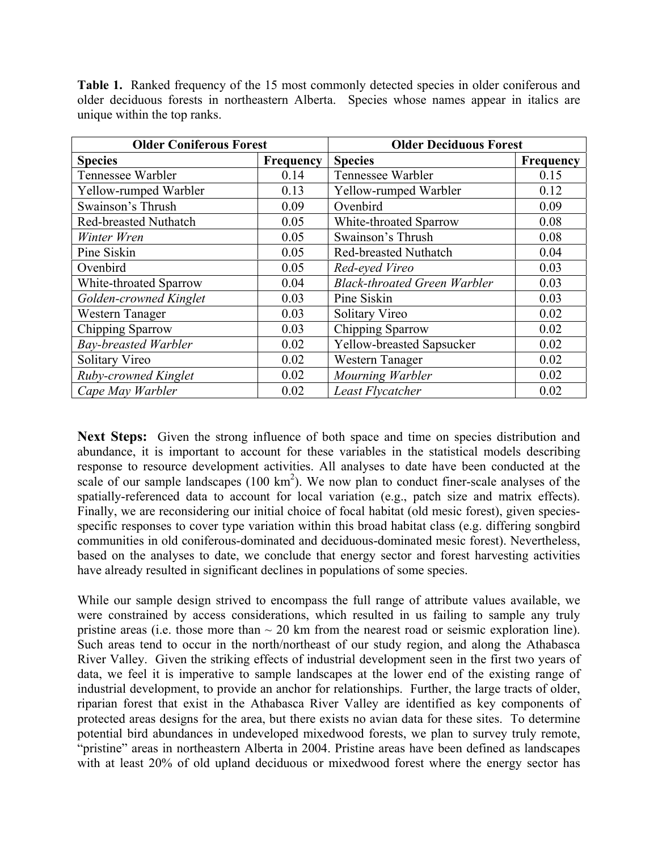**Table 1.** Ranked frequency of the 15 most commonly detected species in older coniferous and older deciduous forests in northeastern Alberta. Species whose names appear in italics are unique within the top ranks.

| <b>Older Coniferous Forest</b> |                  | <b>Older Deciduous Forest</b>       |           |
|--------------------------------|------------------|-------------------------------------|-----------|
| <b>Species</b>                 | <b>Frequency</b> | <b>Species</b>                      | Frequency |
| Tennessee Warbler              | 0.14             | Tennessee Warbler                   | 0.15      |
| Yellow-rumped Warbler          | 0.13             | Yellow-rumped Warbler               | 0.12      |
| Swainson's Thrush              | 0.09             | Ovenbird                            | 0.09      |
| <b>Red-breasted Nuthatch</b>   | 0.05             | White-throated Sparrow              | 0.08      |
| Winter Wren                    | 0.05             | Swainson's Thrush                   | 0.08      |
| Pine Siskin                    | 0.05             | <b>Red-breasted Nuthatch</b>        | 0.04      |
| Ovenbird                       | 0.05             | Red-eyed Vireo                      | 0.03      |
| White-throated Sparrow         | 0.04             | <b>Black-throated Green Warbler</b> | 0.03      |
| Golden-crowned Kinglet         | 0.03             | Pine Siskin                         | 0.03      |
| Western Tanager                | 0.03             | Solitary Vireo                      | 0.02      |
| Chipping Sparrow               | 0.03             | Chipping Sparrow                    | 0.02      |
| <b>Bay-breasted Warbler</b>    | 0.02             | Yellow-breasted Sapsucker           | 0.02      |
| Solitary Vireo                 | 0.02             | Western Tanager                     | 0.02      |
| Ruby-crowned Kinglet           | 0.02             | Mourning Warbler                    | 0.02      |
| Cape May Warbler               | 0.02             | Least Flycatcher                    | 0.02      |

**Next Steps:** Given the strong influence of both space and time on species distribution and abundance, it is important to account for these variables in the statistical models describing response to resource development activities. All analyses to date have been conducted at the scale of our sample landscapes  $(100 \text{ km}^2)$ . We now plan to conduct finer-scale analyses of the spatially-referenced data to account for local variation (e.g., patch size and matrix effects). Finally, we are reconsidering our initial choice of focal habitat (old mesic forest), given speciesspecific responses to cover type variation within this broad habitat class (e.g. differing songbird communities in old coniferous-dominated and deciduous-dominated mesic forest). Nevertheless, based on the analyses to date, we conclude that energy sector and forest harvesting activities have already resulted in significant declines in populations of some species.

While our sample design strived to encompass the full range of attribute values available, we were constrained by access considerations, which resulted in us failing to sample any truly pristine areas (i.e. those more than  $\sim 20$  km from the nearest road or seismic exploration line). Such areas tend to occur in the north/northeast of our study region, and along the Athabasca River Valley. Given the striking effects of industrial development seen in the first two years of data, we feel it is imperative to sample landscapes at the lower end of the existing range of industrial development, to provide an anchor for relationships. Further, the large tracts of older, riparian forest that exist in the Athabasca River Valley are identified as key components of protected areas designs for the area, but there exists no avian data for these sites. To determine potential bird abundances in undeveloped mixedwood forests, we plan to survey truly remote, "pristine" areas in northeastern Alberta in 2004. Pristine areas have been defined as landscapes with at least 20% of old upland deciduous or mixedwood forest where the energy sector has